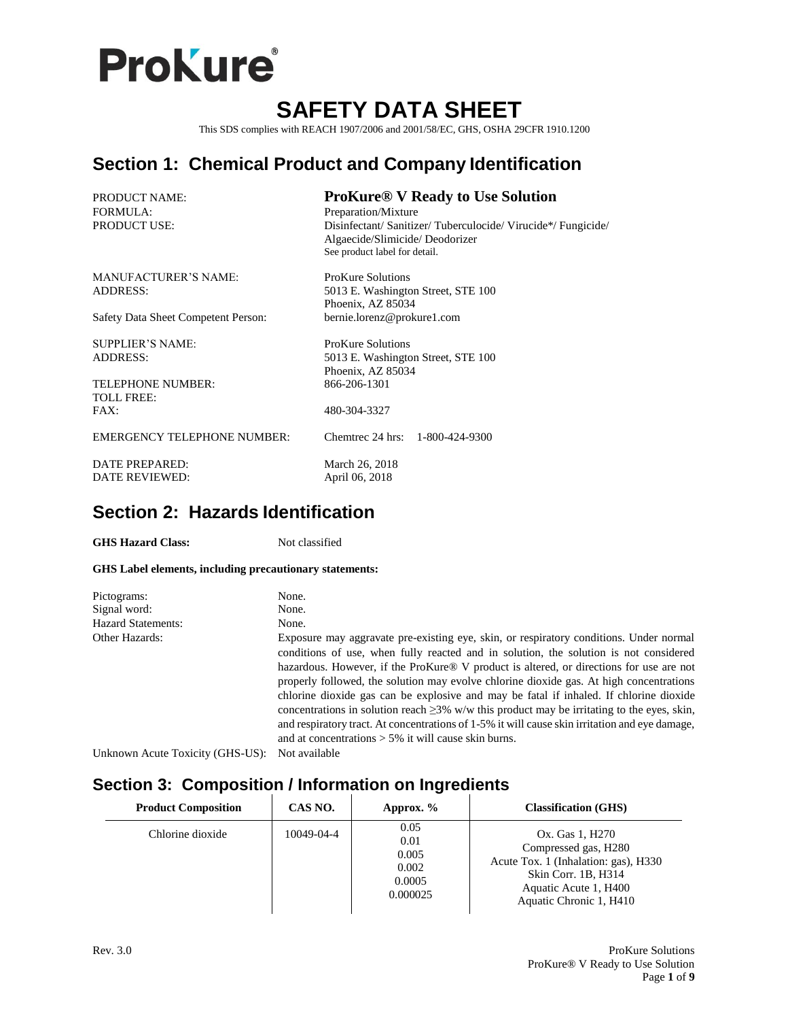

## **SAFETY DATA SHEET**

This SDS complies with REACH 1907/2006 and 2001/58/EC, GHS, OSHA 29CFR 1910.1200

## **Section 1: Chemical Product and Company Identification**

| <b>PRODUCT NAME:</b><br><b>FORMULA:</b><br><b>PRODUCT USE:</b>                              | <b>ProKure® V Ready to Use Solution</b><br>Preparation/Mixture<br>Disinfectant/ Sanitizer/ Tuberculocide/ Virucide*/ Fungicide/<br>Algaecide/Slimicide/Deodorizer<br>See product label for detail. |
|---------------------------------------------------------------------------------------------|----------------------------------------------------------------------------------------------------------------------------------------------------------------------------------------------------|
| <b>MANUFACTURER'S NAME:</b><br><b>ADDRESS:</b>                                              | ProKure Solutions<br>5013 E. Washington Street, STE 100<br>Phoenix, AZ 85034                                                                                                                       |
| Safety Data Sheet Competent Person:                                                         | bernie.lorenz@prokure1.com                                                                                                                                                                         |
| <b>SUPPLIER'S NAME:</b><br><b>ADDRESS:</b><br><b>TELEPHONE NUMBER:</b><br><b>TOLL FREE:</b> | ProKure Solutions<br>5013 E. Washington Street, STE 100<br>Phoenix, AZ 85034<br>866-206-1301                                                                                                       |
| FAX:                                                                                        | 480-304-3327                                                                                                                                                                                       |
| <b>EMERGENCY TELEPHONE NUMBER:</b>                                                          | Chemirec 24 hrs: 1-800-424-9300                                                                                                                                                                    |
| <b>DATE PREPARED:</b><br><b>DATE REVIEWED:</b>                                              | March 26, 2018<br>April 06, 2018                                                                                                                                                                   |

## **Section 2: Hazards Identification**

GHS Hazard Class: Not classified

#### **GHS Label elements, including precautionary statements:**

| Pictograms:                      | None.                                                                                                                                                                                                                                                                                                                                                                                                                                                                                                                                                                                                                                                                                                                                        |
|----------------------------------|----------------------------------------------------------------------------------------------------------------------------------------------------------------------------------------------------------------------------------------------------------------------------------------------------------------------------------------------------------------------------------------------------------------------------------------------------------------------------------------------------------------------------------------------------------------------------------------------------------------------------------------------------------------------------------------------------------------------------------------------|
| Signal word:                     | None.                                                                                                                                                                                                                                                                                                                                                                                                                                                                                                                                                                                                                                                                                                                                        |
| <b>Hazard Statements:</b>        | None.                                                                                                                                                                                                                                                                                                                                                                                                                                                                                                                                                                                                                                                                                                                                        |
| <b>Other Hazards:</b>            | Exposure may aggravate pre-existing eye, skin, or respiratory conditions. Under normal<br>conditions of use, when fully reacted and in solution, the solution is not considered<br>hazardous. However, if the ProKure <sup>®</sup> V product is altered, or directions for use are not<br>properly followed, the solution may evolve chlorine dioxide gas. At high concentrations<br>chlorine dioxide gas can be explosive and may be fatal if inhaled. If chlorine dioxide<br>concentrations in solution reach $\geq$ 3% w/w this product may be irritating to the eyes, skin,<br>and respiratory tract. At concentrations of 1-5% it will cause skin irritation and eye damage,<br>and at concentrations $> 5\%$ it will cause skin burns. |
| Unknown Acute Toxicity (GHS-US): | Not available                                                                                                                                                                                                                                                                                                                                                                                                                                                                                                                                                                                                                                                                                                                                |

## **Section 3: Composition / Information on Ingredients**

| <b>Product Composition</b> | CAS NO.    | Approx. $%$                                          | <b>Classification (GHS)</b>                                                                                                                                |
|----------------------------|------------|------------------------------------------------------|------------------------------------------------------------------------------------------------------------------------------------------------------------|
| Chlorine dioxide           | 10049-04-4 | 0.05<br>0.01<br>0.005<br>0.002<br>0.0005<br>0.000025 | Ox. Gas 1, H270<br>Compressed gas, H280<br>Acute Tox. 1 (Inhalation: gas), H330<br>Skin Corr. 1B, H314<br>Aquatic Acute 1, H400<br>Aquatic Chronic 1, H410 |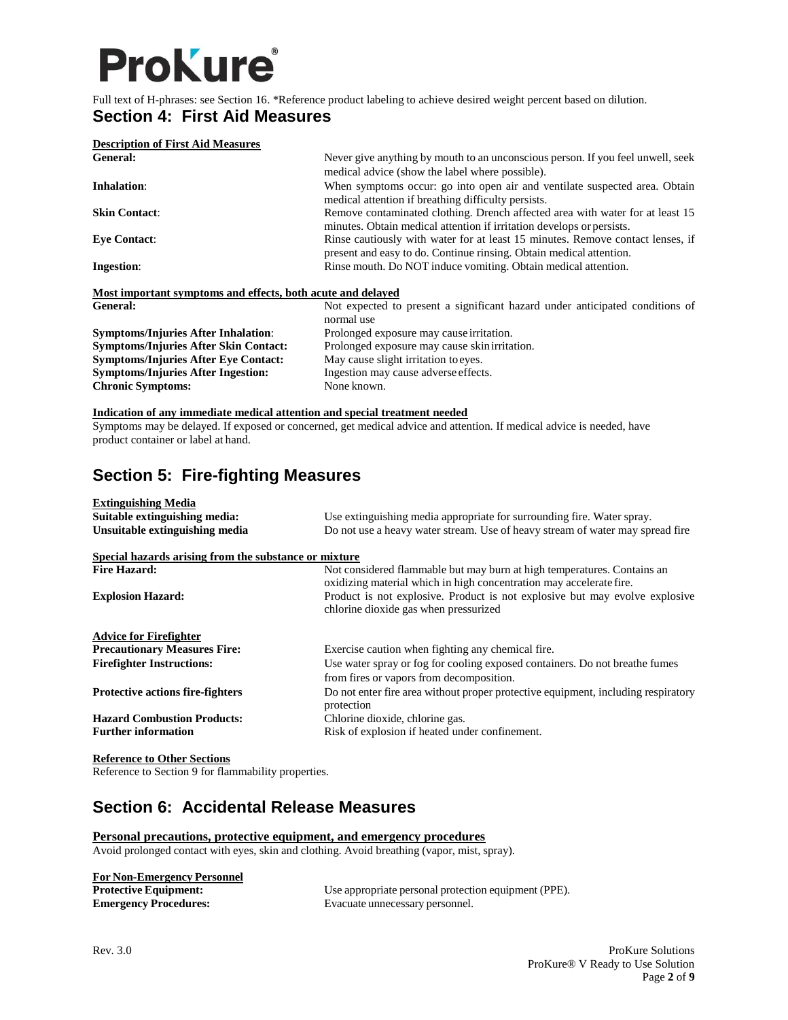## **ProKure**®

Full text of H-phrases: see Section 16. \*Reference product labeling to achieve desired weight percent based on dilution.

### **Section 4: First Aid Measures**

| <b>Description of First Aid Measures</b>                    |                                                                                                                                                        |  |
|-------------------------------------------------------------|--------------------------------------------------------------------------------------------------------------------------------------------------------|--|
| <b>General:</b>                                             | Never give anything by mouth to an unconscious person. If you feel unwell, seek<br>medical advice (show the label where possible).                     |  |
| Inhalation:                                                 | When symptoms occur: go into open air and ventilate suspected area. Obtain<br>medical attention if breathing difficulty persists.                      |  |
| <b>Skin Contact:</b>                                        | Remove contaminated clothing. Drench affected area with water for at least 15<br>minutes. Obtain medical attention if irritation develops or persists. |  |
| <b>Eve Contact:</b>                                         | Rinse cautiously with water for at least 15 minutes. Remove contact lenses, if<br>present and easy to do. Continue ringing. Obtain medical attention.  |  |
| <b>Ingestion:</b>                                           | Rinse mouth. Do NOT induce vomiting. Obtain medical attention.                                                                                         |  |
| Most important symptoms and effects, both acute and delayed |                                                                                                                                                        |  |
| General:                                                    | Not expected to present a significant hazard under anticipated conditions of                                                                           |  |
|                                                             | normal use                                                                                                                                             |  |
| <b>Symptoms/Injuries After Inhalation:</b>                  | Prolonged exposure may cause irritation.                                                                                                               |  |

|                                              | normal use                                    |
|----------------------------------------------|-----------------------------------------------|
| <b>Symptoms/Injuries After Inhalation:</b>   | Prolonged exposure may cause irritation.      |
| <b>Symptoms/Injuries After Skin Contact:</b> | Prolonged exposure may cause skin irritation. |
| <b>Symptoms/Injuries After Eve Contact:</b>  | May cause slight irritation to eyes.          |
| <b>Symptoms/Injuries After Ingestion:</b>    | Ingestion may cause adverse effects.          |
| <b>Chronic Symptoms:</b>                     | None known.                                   |

#### **Indication of any immediate medical attention and special treatment needed**

Symptoms may be delayed. If exposed or concerned, get medical advice and attention. If medical advice is needed, have product container or label at hand.

## **Section 5: Fire-fighting Measures**

| <b>Extinguishing Media</b><br>Suitable extinguishing media: | Use extinguishing media appropriate for surrounding fire. Water spray.                                                                         |
|-------------------------------------------------------------|------------------------------------------------------------------------------------------------------------------------------------------------|
| Unsuitable extinguishing media                              | Do not use a heavy water stream. Use of heavy stream of water may spread fire                                                                  |
| Special hazards arising from the substance or mixture       |                                                                                                                                                |
| <b>Fire Hazard:</b>                                         | Not considered flammable but may burn at high temperatures. Contains an<br>oxidizing material which in high concentration may accelerate fire. |
| <b>Explosion Hazard:</b>                                    | Product is not explosive. Product is not explosive but may evolve explosive<br>chlorine dioxide gas when pressurized                           |
| <b>Advice for Firefighter</b>                               |                                                                                                                                                |
| <b>Precautionary Measures Fire:</b>                         | Exercise caution when fighting any chemical fire.                                                                                              |
| <b>Firefighter Instructions:</b>                            | Use water spray or fog for cooling exposed containers. Do not breatherfumes<br>from fires or vapors from decomposition.                        |
| <b>Protective actions fire-fighters</b>                     | Do not enter fire area without proper protective equipment, including respiratory<br>protection                                                |
| <b>Hazard Combustion Products:</b>                          | Chlorine dioxide, chlorine gas.                                                                                                                |
| <b>Further information</b>                                  | Risk of explosion if heated under confinement.                                                                                                 |
|                                                             |                                                                                                                                                |

**Reference to Other Sections** Reference to Section 9 for flammability properties.

## **Section 6: Accidental Release Measures**

### **Personal precautions, protective equipment, and emergency procedures**

Avoid prolonged contact with eyes, skin and clothing. Avoid breathing (vapor, mist, spray).

| <b>For Non-Emergency Personnel</b> |
|------------------------------------|
| <b>Protective Equipment:</b>       |
| <b>Fmergency Procedures</b>        |

Use appropriate personal protection equipment (PPE). **Emergency Procedures:** Evacuate unnecessary personnel.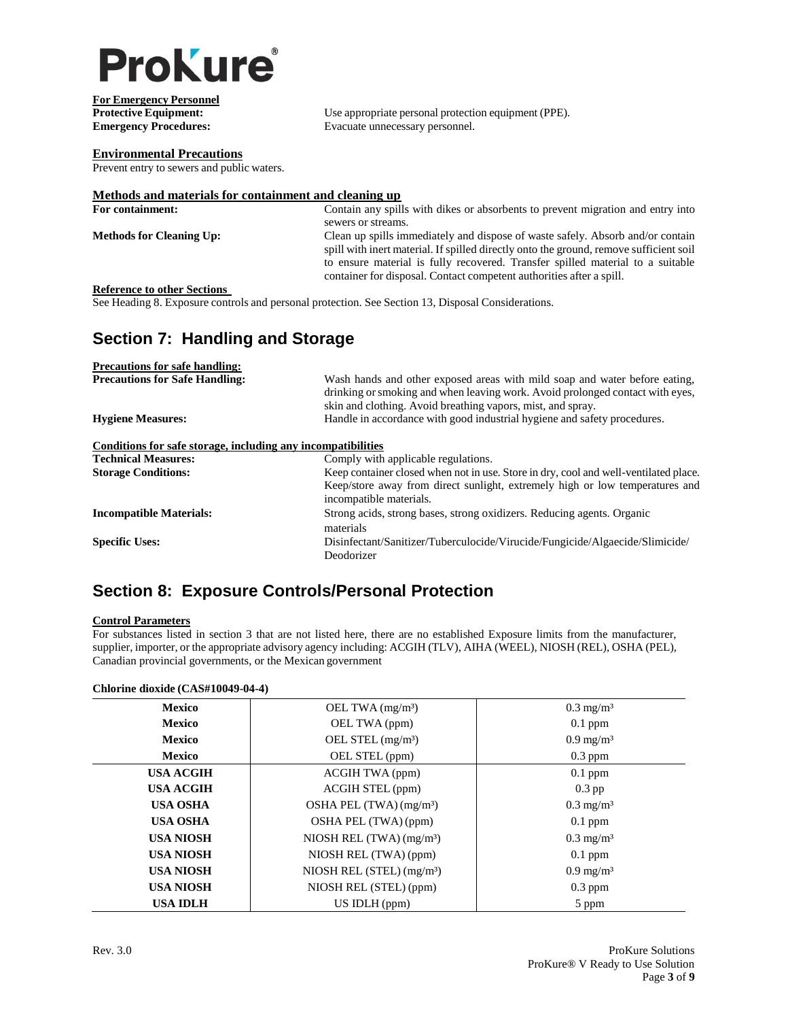

**For Emergency Personnel**

**Protective Equipment:** Use appropriate personal protection equipment (PPE).<br> **Exacuate unnecessary personnel.** Evacuate unnecessary personnel.

#### **Environmental Precautions**

Prevent entry to sewers and public waters.

### **Methods and materials for containment and cleaning up**

| For containment:                   | Contain any spills with dikes or absorbents to prevent migration and entry into        |
|------------------------------------|----------------------------------------------------------------------------------------|
|                                    | sewers or streams.                                                                     |
| <b>Methods for Cleaning Up:</b>    | Clean up spills immediately and dispose of waste safely. Absorb and/or contain         |
|                                    | spill with inert material. If spilled directly onto the ground, remove sufficient soil |
|                                    | to ensure material is fully recovered. Transfer spilled material to a suitable         |
|                                    | container for disposal. Contact competent authorities after a spill.                   |
| <b>Reference to other Sections</b> |                                                                                        |

See Heading 8. Exposure controls and personal protection. See Section 13, Disposal Considerations.

## **Section 7: Handling and Storage**

| <b>Precautions for safe handling:</b>                        |                                                                                                                                                             |
|--------------------------------------------------------------|-------------------------------------------------------------------------------------------------------------------------------------------------------------|
| <b>Precautions for Safe Handling:</b>                        | Wash hands and other exposed areas with mild soap and water before eating,<br>drinking or smoking and when leaving work. Avoid prolonged contact with eyes, |
|                                                              | skin and clothing. Avoid breathing vapors, mist, and spray.                                                                                                 |
| <b>Hygiene Measures:</b>                                     | Handle in accordance with good industrial hygiene and safety procedures.                                                                                    |
| Conditions for safe storage, including any incompatibilities |                                                                                                                                                             |
| <b>Technical Measures:</b>                                   | Comply with applicable regulations.                                                                                                                         |
| <b>Storage Conditions:</b>                                   | Keep container closed when not in use. Store in dry, cool and well-ventilated place.                                                                        |
|                                                              | Keep/store away from direct sunlight, extremely high or low temperatures and<br>incompatible materials.                                                     |
| <b>Incompatible Materials:</b>                               | Strong acids, strong bases, strong oxidizers. Reducing agents. Organic                                                                                      |
|                                                              | materials                                                                                                                                                   |
| <b>Specific Uses:</b>                                        | Disinfectant/Sanitizer/Tuberculocide/Virucide/Fungicide/Algaecide/Slimicide/                                                                                |
|                                                              | Deodorizer                                                                                                                                                  |

## **Section 8: Exposure Controls/Personal Protection**

#### **Control Parameters**

For substances listed in section 3 that are not listed here, there are no established Exposure limits from the manufacturer, supplier, importer, or the appropriate advisory agency including: ACGIH (TLV), AIHA (WEEL), NIOSH (REL), OSHA (PEL), Canadian provincial governments, or the Mexican government

#### **Chlorine dioxide (CAS#10049-04-4)**

| <b>Mexico</b>    | OEL TWA $(mg/m3)$                      | $0.3 \text{ mg/m}^3$ |
|------------------|----------------------------------------|----------------------|
| <b>Mexico</b>    | OEL TWA (ppm)                          | $0.1$ ppm            |
| <b>Mexico</b>    | OEL STEL (mg/m <sup>3</sup> )          | $0.9 \text{ mg/m}^3$ |
| <b>Mexico</b>    | OEL STEL (ppm)                         | $0.3$ ppm            |
| <b>USA ACGIH</b> | <b>ACGIH TWA (ppm)</b>                 | $0.1$ ppm            |
| <b>USA ACGIH</b> | ACGIH STEL (ppm)                       | $0.3$ pp             |
| <b>USA OSHA</b>  | OSHA PEL (TWA) (mg/m <sup>3</sup> )    | $0.3 \text{ mg/m}^3$ |
| <b>USA OSHA</b>  | OSHA PEL (TWA) (ppm)                   | $0.1$ ppm            |
| <b>USA NIOSH</b> | NIOSH REL $(TWA)$ (mg/m <sup>3</sup> ) | $0.3 \text{ mg/m}^3$ |
| <b>USA NIOSH</b> | NIOSH REL (TWA) (ppm)                  | $0.1$ ppm            |
| <b>USA NIOSH</b> | NIOSH REL (STEL) $(mg/m3)$             | $0.9 \text{ mg/m}^3$ |
| <b>USA NIOSH</b> | NIOSH REL (STEL) (ppm)                 | $0.3$ ppm            |
| <b>USA IDLH</b>  | $US$ IDLH $(ppm)$                      | 5 ppm                |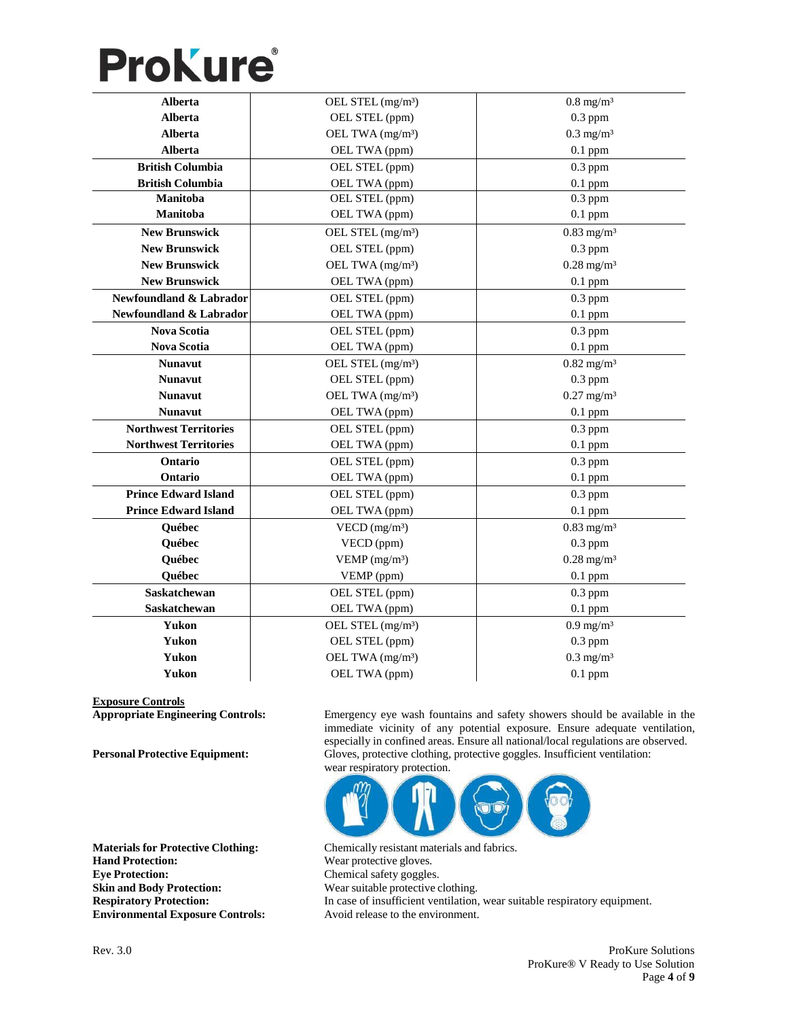# **ProKure**®

| <b>Alberta</b>               | OEL STEL (mg/m <sup>3</sup> ) | $0.8$ mg/m <sup>3</sup>  |
|------------------------------|-------------------------------|--------------------------|
| <b>Alberta</b>               | OEL STEL (ppm)                | $0.3$ ppm                |
| Alberta                      | OEL TWA (mg/m <sup>3</sup> )  | $0.3$ mg/m <sup>3</sup>  |
| <b>Alberta</b>               | OEL TWA (ppm)                 | $0.1$ ppm                |
| <b>British Columbia</b>      | OEL STEL (ppm)                | $0.3$ ppm                |
| <b>British Columbia</b>      | OEL TWA (ppm)                 | $0.1$ ppm                |
| Manitoba                     | OEL STEL (ppm)                | $0.3$ ppm                |
| Manitoba                     | OEL TWA (ppm)                 | $0.1$ ppm                |
| <b>New Brunswick</b>         | OEL STEL (mg/m <sup>3</sup> ) | $0.83$ mg/m <sup>3</sup> |
| <b>New Brunswick</b>         | OEL STEL (ppm)                | $0.3$ ppm                |
| <b>New Brunswick</b>         | OEL TWA (mg/m <sup>3</sup> )  | $0.28$ mg/m <sup>3</sup> |
| <b>New Brunswick</b>         | OEL TWA (ppm)                 | $0.1$ ppm                |
| Newfoundland & Labrador      | OEL STEL (ppm)                | $0.3$ ppm                |
| Newfoundland & Labrador      | OEL TWA (ppm)                 | $0.1$ ppm                |
| <b>Nova Scotia</b>           | OEL STEL (ppm)                | $0.3$ ppm                |
| <b>Nova Scotia</b>           | OEL TWA (ppm)                 | $0.1$ ppm                |
| <b>Nunavut</b>               | OEL STEL (mg/m <sup>3</sup> ) | $0.82$ mg/m <sup>3</sup> |
| <b>Nunavut</b>               | OEL STEL (ppm)                | $0.3$ ppm                |
| <b>Nunavut</b>               | OEL TWA (mg/m <sup>3</sup> )  | $0.27$ mg/m <sup>3</sup> |
| <b>Nunavut</b>               | OEL TWA (ppm)                 | $0.1$ ppm                |
| <b>Northwest Territories</b> | OEL STEL (ppm)                | $0.3$ ppm                |
| <b>Northwest Territories</b> | OEL TWA (ppm)                 | $0.1$ ppm                |
| Ontario                      | OEL STEL (ppm)                | $0.3$ ppm                |
| Ontario                      | OEL TWA (ppm)                 | $0.1$ ppm                |
| <b>Prince Edward Island</b>  | OEL STEL (ppm)                | $0.3$ ppm                |
| <b>Prince Edward Island</b>  | OEL TWA (ppm)                 | $0.1$ ppm                |
| Québec                       | $VECD$ (mg/m <sup>3</sup> )   | $0.83$ mg/m <sup>3</sup> |
| Québec                       | VECD (ppm)                    | $0.3$ ppm                |
| Québec                       | VEMP $(mg/m3)$                | $0.28$ mg/m <sup>3</sup> |
| Québec                       | VEMP (ppm)                    | $0.1$ ppm                |
| <b>Saskatchewan</b>          | OEL STEL (ppm)                | $0.3$ ppm                |
| Saskatchewan                 | OEL TWA (ppm)                 | $0.1$ ppm                |
| Yukon                        | OEL STEL (mg/m <sup>3</sup> ) | $0.9$ mg/m <sup>3</sup>  |
| Yukon                        | OEL STEL (ppm)                | $0.3$ ppm                |
| Yukon                        | OEL TWA (mg/m <sup>3</sup> )  | $0.3$ mg/m <sup>3</sup>  |
| Yukon                        | OEL TWA (ppm)                 | $0.1$ ppm                |

**Exposure Controls**

**Hand Protection:** Wear protective gloves. **Eye Protection:** Chemical safety goggles. **Skin and Body Protection:** Wear suitable protective clothing. **Environmental Exposure Controls:** Avoid release to the environment.

Emergency eye wash fountains and safety showers should be available in the immediate vicinity of any potential exposure. Ensure adequate ventilation, especially in confined areas. Ensure all national/local regulations are observed. **Personal Protective Equipment:** Gloves, protective clothing, protective goggles. Insufficient ventilation: wear respiratory protection.



**Materials for Protective Clothing:** Chemically resistant materials and fabrics. **Respiratory Protection:** In case of insufficient ventilation, wear suitable respiratory equipment.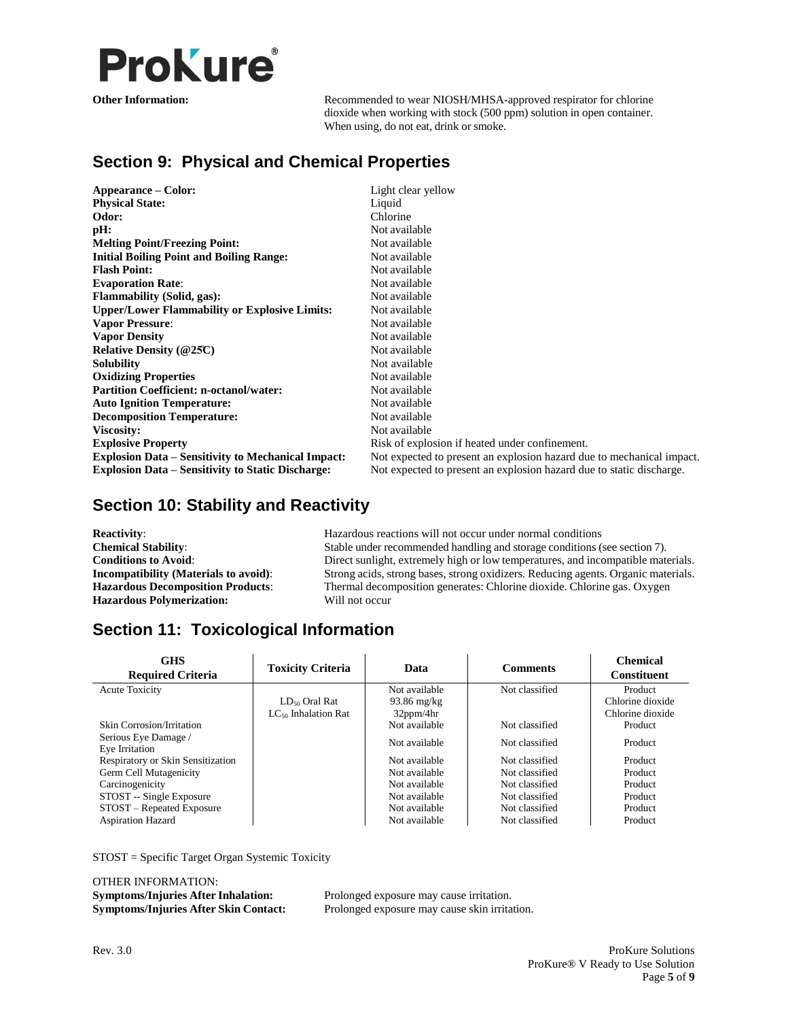

**Other Information:** Recommended to wear NIOSH/MHSA-approved respirator for chlorine dioxide when working with stock (500 ppm) solution in open container. When using, do not eat, drink or smoke.

## **Section 9: Physical and Chemical Properties**

| Appearance – Color:                                       | Light clear yellow                                                    |
|-----------------------------------------------------------|-----------------------------------------------------------------------|
| <b>Physical State:</b>                                    | Liquid                                                                |
| Odor:                                                     | Chlorine                                                              |
| pH:                                                       | Not available                                                         |
| <b>Melting Point/Freezing Point:</b>                      | Not available                                                         |
| <b>Initial Boiling Point and Boiling Range:</b>           | Not available                                                         |
| <b>Flash Point:</b>                                       | Not available                                                         |
| <b>Evaporation Rate:</b>                                  | Not available                                                         |
| <b>Flammability (Solid, gas):</b>                         | Not available                                                         |
| <b>Upper/Lower Flammability or Explosive Limits:</b>      | Not available                                                         |
| <b>Vapor Pressure:</b>                                    | Not available                                                         |
| <b>Vapor Density</b>                                      | Not available                                                         |
| <b>Relative Density (@25C)</b>                            | Not available                                                         |
| <b>Solubility</b>                                         | Not available                                                         |
| <b>Oxidizing Properties</b>                               | Not available                                                         |
| <b>Partition Coefficient: n-octanol/water:</b>            | Not available                                                         |
| <b>Auto Ignition Temperature:</b>                         | Not available                                                         |
| <b>Decomposition Temperature:</b>                         | Not available                                                         |
| <b>Viscosity:</b>                                         | Not available                                                         |
| <b>Explosive Property</b>                                 | Risk of explosion if heated under confinement.                        |
| <b>Explosion Data – Sensitivity to Mechanical Impact:</b> | Not expected to present an explosion hazard due to mechanical impact. |
| <b>Explosion Data – Sensitivity to Static Discharge:</b>  | Not expected to present an explosion hazard due to static discharge.  |

## **Section 10: Stability and Reactivity**

| <b>Reactivity:</b>                           | Hazardous reactions will not occur under normal conditions                        |
|----------------------------------------------|-----------------------------------------------------------------------------------|
| <b>Chemical Stability:</b>                   | Stable under recommended handling and storage conditions (see section 7).         |
| <b>Conditions to Avoid:</b>                  | Direct sunlight, extremely high or low temperatures, and incompatible materials.  |
| <b>Incompatibility (Materials to avoid):</b> | Strong acids, strong bases, strong oxidizers. Reducing agents. Organic materials. |
| <b>Hazardous Decomposition Products:</b>     | Thermal decomposition generates: Chlorine dioxide. Chlorine gas. Oxygen           |
| <b>Hazardous Polymerization:</b>             | Will not occur                                                                    |

## **Section 11: Toxicological Information**

| <b>GHS</b><br><b>Required Criteria</b> | <b>Toxicity Criteria</b> | Data            | <b>Comments</b> | <b>Chemical</b><br><b>Constituent</b> |
|----------------------------------------|--------------------------|-----------------|-----------------|---------------------------------------|
| <b>Acute Toxicity</b>                  |                          | Not available   | Not classified  | Product                               |
|                                        | $LD_{50}$ Oral Rat       | $93.86$ mg/kg   |                 | Chlorine dioxide                      |
|                                        | $LC_{50}$ Inhalation Rat | $32$ ppm/4 $hr$ |                 | Chlorine dioxide                      |
| <b>Skin Corrosion/Irritation</b>       |                          | Not available   | Not classified  | Product                               |
| Serious Eye Damage /<br>Eye Irritation |                          | Not available   | Not classified  | Product                               |
| Respiratory or Skin Sensitization      |                          | Not available   | Not classified  | Product                               |
| Germ Cell Mutagenicity                 |                          | Not available   | Not classified  | Product                               |
| Carcinogenicity                        |                          | Not available   | Not classified  | Product                               |
| STOST -- Single Exposure               |                          | Not available   | Not classified  | Product                               |
| STOST – Repeated Exposure              |                          | Not available   | Not classified  | Product                               |
| <b>Aspiration Hazard</b>               |                          | Not available   | Not classified  | Product                               |

STOST = Specific Target Organ Systemic Toxicity

OTHER INFORMATION: **Symptoms/Injuries After Inhalation:** Prolonged exposure may cause irritation.

**Symptoms/Injuries After Skin Contact:** Prolonged exposure may cause skin irritation.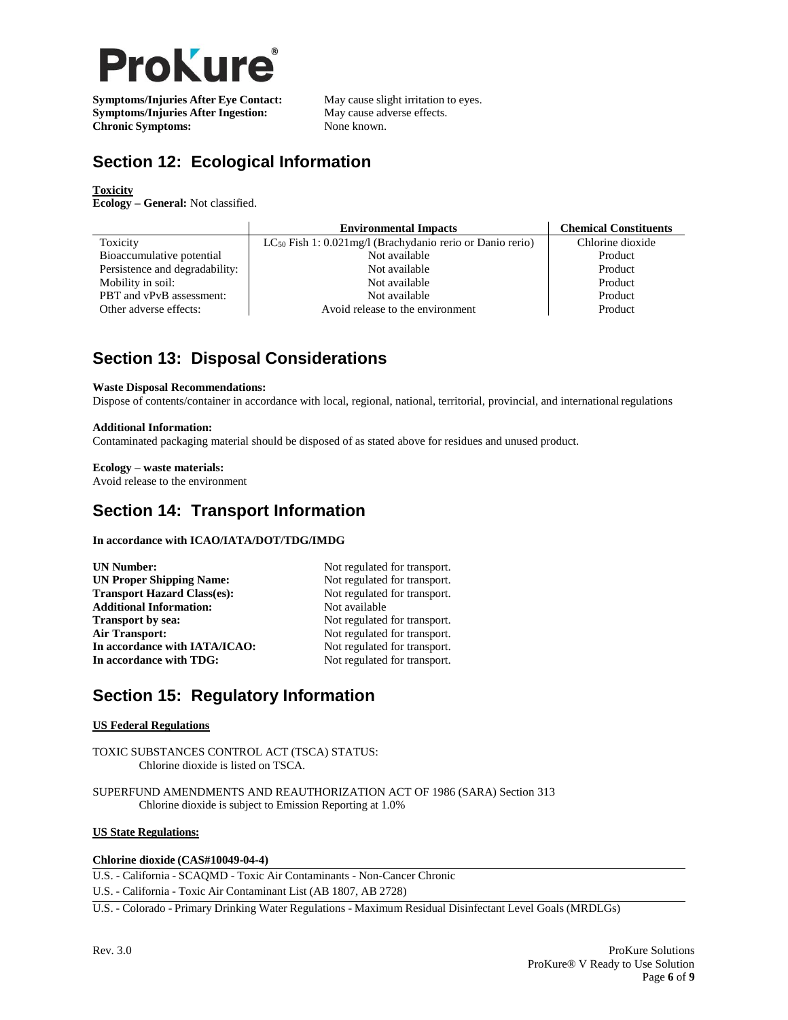

**Symptoms/Injuries After Eye Contact:** May cause slight irritation to eyes.<br> **Symptoms/Injuries After Ingestion:** May cause adverse effects. **Symptoms/Injuries After Ingestion:** May cause adv<br> **Chronic Symptoms:** None known. **Chronic Symptoms:** 

## **Section 12: Ecological Information**

#### **Toxicity**

**Ecology – General:** Not classified.

|                                | <b>Environmental Impacts</b>                                   | <b>Chemical Constituents</b> |
|--------------------------------|----------------------------------------------------------------|------------------------------|
| Toxicity                       | $LC_{50}$ Fish 1: 0.021mg/l (Brachydanio rerio or Danio rerio) | Chlorine dioxide             |
| Bioaccumulative potential      | Not available                                                  | Product                      |
| Persistence and degradability: | Not available                                                  | Product                      |
| Mobility in soil:              | Not available                                                  | Product                      |
| PBT and vPvB assessment:       | Not available                                                  | Product                      |
| Other adverse effects:         | Avoid release to the environment                               | Product                      |

## **Section 13: Disposal Considerations**

#### **Waste Disposal Recommendations:**

Dispose of contents/container in accordance with local, regional, national, territorial, provincial, and international regulations

#### **Additional Information:**

Contaminated packaging material should be disposed of as stated above for residues and unused product.

### **Ecology – waste materials:**

Avoid release to the environment

## **Section 14: Transport Information**

#### **In accordance with ICAO/IATA/DOT/TDG/IMDG**

| <b>UN Number:</b>                  | Not regulated for transport. |
|------------------------------------|------------------------------|
| <b>UN Proper Shipping Name:</b>    | Not regulated for transport. |
| <b>Transport Hazard Class(es):</b> | Not regulated for transport. |
| <b>Additional Information:</b>     | Not available                |
| <b>Transport by sea:</b>           | Not regulated for transport. |
| Air Transport:                     | Not regulated for transport. |
| In accordance with IATA/ICAO:      | Not regulated for transport. |
| In accordance with TDG:            | Not regulated for transport. |
|                                    |                              |

## **Section 15: Regulatory Information**

#### **US Federal Regulations**

TOXIC SUBSTANCES CONTROL ACT (TSCA) STATUS: Chlorine dioxide is listed on TSCA.

SUPERFUND AMENDMENTS AND REAUTHORIZATION ACT OF 1986 (SARA) Section 313 Chlorine dioxide is subject to Emission Reporting at 1.0%

### **US State Regulations:**

#### **Chlorine dioxide (CAS#10049-04-4)**

U.S. - California - SCAQMD - Toxic Air Contaminants - Non-Cancer Chronic

U.S. - California - Toxic Air Contaminant List (AB 1807, AB 2728)

U.S. - Colorado - Primary Drinking Water Regulations - Maximum Residual Disinfectant Level Goals (MRDLGs)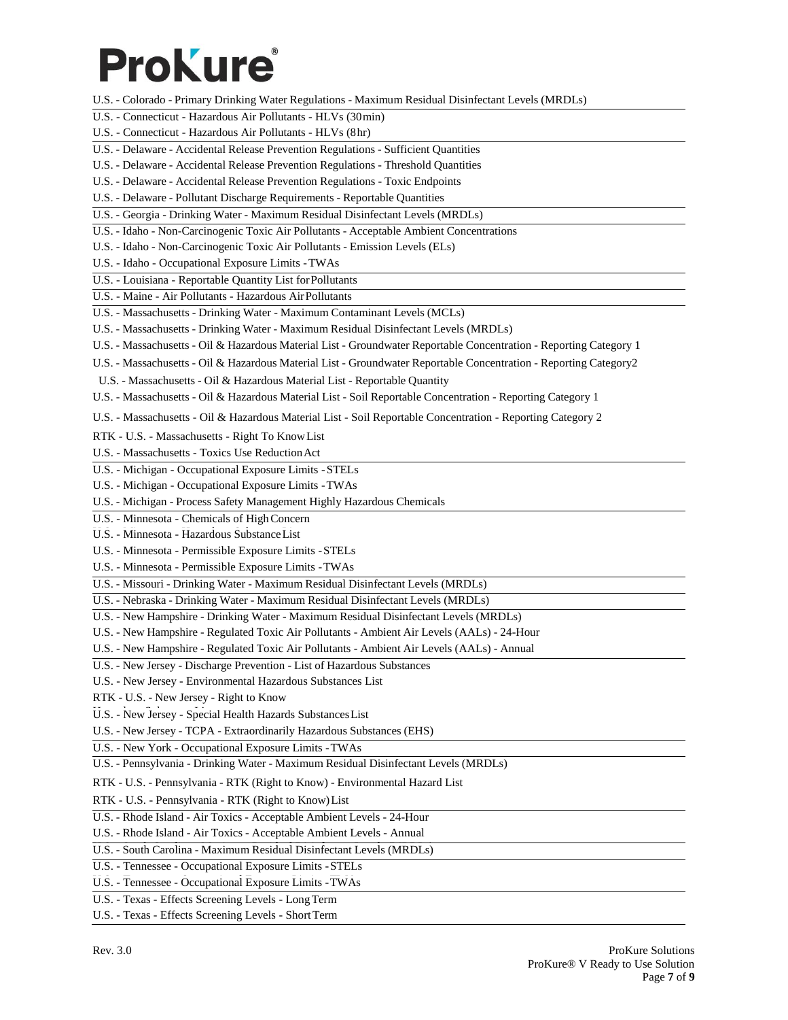# **Prokure**

- U.S. Colorado Primary Drinking Water Regulations Maximum Residual Disinfectant Levels (MRDLs)
- U.S. Connecticut Hazardous Air Pollutants HLVs (30min)
- U.S. Connecticut Hazardous Air Pollutants HLVs (8hr)
- U.S. Delaware Accidental Release Prevention Regulations Sufficient Quantities
- U.S. Delaware Accidental Release Prevention Regulations Threshold Quantities
- U.S. Delaware Accidental Release Prevention Regulations Toxic Endpoints
- U.S. Delaware Pollutant Discharge Requirements Reportable Quantities
- U.S. Georgia Drinking Water Maximum Residual Disinfectant Levels (MRDLs)
- U.S. Idaho Non-Carcinogenic Toxic Air Pollutants Acceptable Ambient Concentrations
- U.S. Idaho Non-Carcinogenic Toxic Air Pollutants Emission Levels (ELs)
- U.S. Idaho Occupational Exposure Limits -TWAs
- U.S. Louisiana Reportable Quantity List forPollutants
- U.S. Maine Air Pollutants Hazardous AirPollutants
- U.S. Massachusetts Drinking Water Maximum Contaminant Levels (MCLs)
- U.S. Massachusetts Drinking Water Maximum Residual Disinfectant Levels (MRDLs)
- U.S. Massachusetts Oil & Hazardous Material List Groundwater Reportable Concentration Reporting Category 1
- U.S. Massachusetts Oil & Hazardous Material List Groundwater Reportable Concentration Reporting Category2
- U.S. Massachusetts Oil & Hazardous Material List Reportable Quantity
- U.S. Massachusetts Oil & Hazardous Material List Soil Reportable Concentration Reporting Category 1
- U.S. Massachusetts Oil & Hazardous Material List Soil Reportable Concentration Reporting Category 2
- RTK U.S. Massachusetts Right To KnowList
- U.S. Massachusetts Toxics Use ReductionAct
- U.S. Michigan Occupational Exposure Limits -STELs
- U.S. Michigan Occupational Exposure Limits -TWAs
- U.S. Michigan Process Safety Management Highly Hazardous Chemicals
- U.S. Minnesota Chemicals of HighConcern
- U.S. Minnesota Hazardous Substance List
- U.S. Minnesota Permissible Exposure Limits -STELs
- U.S. Minnesota Permissible Exposure Limits -TWAs
- U.S. Missouri Drinking Water Maximum Residual Disinfectant Levels (MRDLs)
- U.S. Nebraska Drinking Water Maximum Residual Disinfectant Levels (MRDLs)
- U.S. New Hampshire Drinking Water Maximum Residual Disinfectant Levels (MRDLs)
- U.S. New Hampshire Regulated Toxic Air Pollutants Ambient Air Levels (AALs) 24-Hour
- U.S. New Hampshire Regulated Toxic Air Pollutants Ambient Air Levels (AALs) Annual
- U.S. New Jersey Discharge Prevention List of Hazardous Substances
- U.S. New Jersey Environmental Hazardous Substances List
- RTK U.S. New Jersey Right to Know
- U.S. New Jersey Special Health Hazards Substances List
- U.S. New Jersey TCPA Extraordinarily Hazardous Substances (EHS)
- U.S. New York Occupational Exposure Limits -TWAs
- U.S. Pennsylvania Drinking Water Maximum Residual Disinfectant Levels (MRDLs)
- RTK U.S. Pennsylvania RTK (Right to Know) Environmental Hazard List
- RTK U.S. Pennsylvania RTK (Right to Know)List
- U.S. Rhode Island Air Toxics Acceptable Ambient Levels 24-Hour
- U.S. Rhode Island Air Toxics Acceptable Ambient Levels Annual
- U.S. South Carolina Maximum Residual Disinfectant Levels (MRDLs)
- U.S. Tennessee Occupational Exposure Limits -STELs
- U.S. Tennessee Occupational Exposure Limits -TWAs U.S. Tennessee Occupational Exposure Limits -TWAs
- U.S. Texas Effects Screening Levels Long Term
- U.S. Texas Effects Screening Levels ShortTerm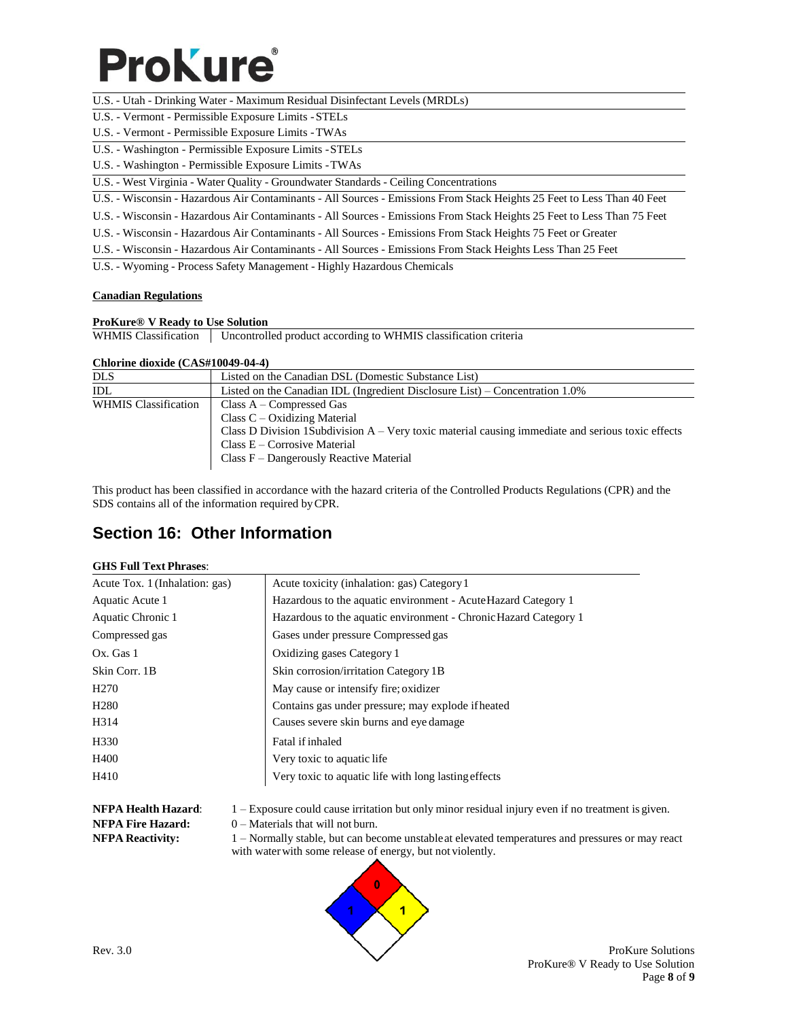## **Prokure**

- U.S. Utah Drinking Water Maximum Residual Disinfectant Levels (MRDLs)
- U.S. U.S. Vermont Permissible Exposure Limits -STELs Vermont Permissible Exposure Limits -STELs
- U.S. Vermont Permissible Exposure Limits -TWAs
- U.S. Washington Permissible Exposure Limits -STELs
- U.S. Washington Permissible Exposure Limits -TWAs
- U.S. West Virginia Water Quality Groundwater Standards Ceiling Concentrations
- U.S. Wisconsin Hazardous Air Contaminants All Sources Emissions From Stack Heights 25 Feet to Less Than 40 Feet
- U.S. Wisconsin Hazardous Air Contaminants All Sources Emissions From Stack Heights 25 Feet to Less Than 75 Feet
- U.S. Wisconsin Hazardous Air Contaminants All Sources Emissions From Stack Heights 75 Feet or Greater
- U.S. Wisconsin Hazardous Air Contaminants All Sources Emissions From Stack Heights Less Than 25 Feet

U.S. - Wyoming - Process Safety Management - Highly Hazardous Chemicals

### **Canadian Regulations**

#### **ProKure® V Ready to Use Solution**

WHMIS Classification | Uncontrolled product according to WHMIS classification criteria

#### **Chlorine dioxide (CAS#10049-04-4)**

| <b>DLS</b>                  | Listed on the Canadian DSL (Domestic Substance List)                                                                                                                                                                                               |
|-----------------------------|----------------------------------------------------------------------------------------------------------------------------------------------------------------------------------------------------------------------------------------------------|
| IDL.                        | Listed on the Canadian IDL (Ingredient Disclosure List) – Concentration 1.0%                                                                                                                                                                       |
| <b>WHMIS Classification</b> | Class $A - Compressed Gas$<br>Class $C - Oxidizing Material$<br>Class D Division 1 Subdivision $A - V$ ery toxic material causing immediate and serious toxic effects<br>Class $E -$ Corrosive Material<br>Class F – Dangerously Reactive Material |

This product has been classified in accordance with the hazard criteria of the Controlled Products Regulations (CPR) and the SDS contains all of the information required byCPR.

## **Section 16: Other Information**

#### **GHS Full Text Phrases**:

| Acute Tox. 1 (Inhalation: gas) | Acute toxicity (inhalation: gas) Category 1                      |
|--------------------------------|------------------------------------------------------------------|
| Aquatic Acute 1                | Hazardous to the aquatic environment - Acute Hazard Category 1   |
| Aquatic Chronic 1              | Hazardous to the aquatic environment - Chronic Hazard Category 1 |
| Compressed gas                 | Gases under pressure Compressed gas                              |
| Ox. Gas 1                      | Oxidizing gases Category 1                                       |
| Skin Corr. 1B                  | Skin corrosion/irritation Category 1B                            |
| H <sub>270</sub>               | May cause or intensify fire; oxidizer                            |
| H <sub>280</sub>               | Contains gas under pressure; may explode if heated               |
| H314                           | Causes severe skin burns and eye damage                          |
| H <sub>330</sub>               | Fatal if inhaled                                                 |
| H400                           | Very toxic to aquatic life.                                      |
| H410                           | Very toxic to aquatic life with long lasting effects             |

**NFPA Health Hazard**: 1 – Exposure could cause irritation but only minor residual injury even if no treatment is given.

**NFPA Fire Hazard:** 0 – Materials that will not burn.

**NFPA Reactivity:** 1 – Normally stable, but can become unstableat elevated temperatures and pressures or may react with waterwith some release of energy, but not violently.